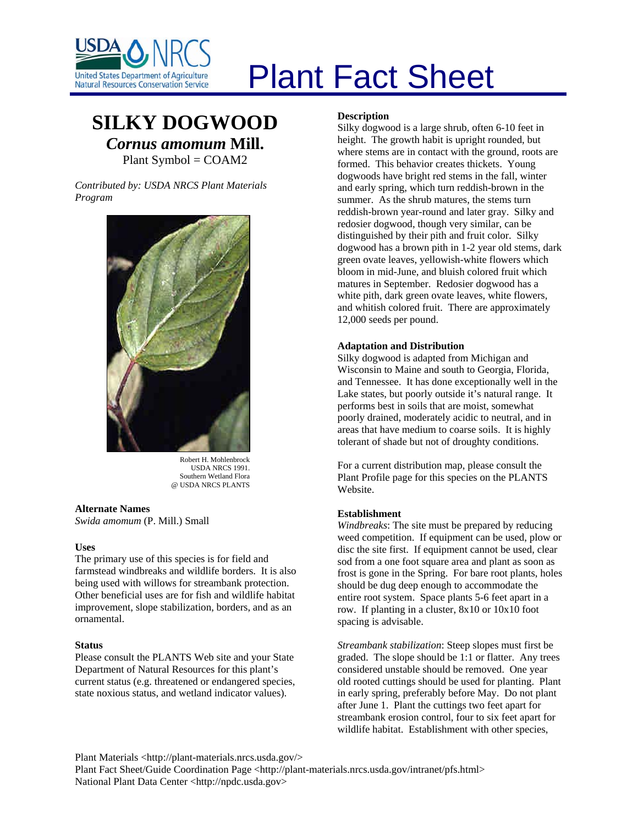

# Plant Fact Sheet

# **SILKY DOGWOOD** *Cornus amomum* **Mill.** Plant Symbol = COAM2

*Contributed by: USDA NRCS Plant Materials Program* 



Robert H. Mohlenbrock USDA NRCS 1991. Southern Wetland Flora @ USDA NRCS PLANTS

**Alternate Names**  *Swida amomum* (P. Mill.) Small

# **Uses**

The primary use of this species is for field and farmstead windbreaks and wildlife borders. It is also being used with willows for streambank protection. Other beneficial uses are for fish and wildlife habitat improvement, slope stabilization, borders, and as an ornamental.

#### **Status**

Please consult the PLANTS Web site and your State Department of Natural Resources for this plant's current status (e.g. threatened or endangered species, state noxious status, and wetland indicator values).

# **Description**

Silky dogwood is a large shrub, often 6-10 feet in height. The growth habit is upright rounded, but where stems are in contact with the ground, roots are formed. This behavior creates thickets. Young dogwoods have bright red stems in the fall, winter and early spring, which turn reddish-brown in the summer. As the shrub matures, the stems turn reddish-brown year-round and later gray. Silky and redosier dogwood, though very similar, can be distinguished by their pith and fruit color. Silky dogwood has a brown pith in 1-2 year old stems, dark green ovate leaves, yellowish-white flowers which bloom in mid-June, and bluish colored fruit which matures in September. Redosier dogwood has a white pith, dark green ovate leaves, white flowers, and whitish colored fruit. There are approximately 12,000 seeds per pound.

# **Adaptation and Distribution**

Silky dogwood is adapted from Michigan and Wisconsin to Maine and south to Georgia, Florida, and Tennessee. It has done exceptionally well in the Lake states, but poorly outside it's natural range. It performs best in soils that are moist, somewhat poorly drained, moderately acidic to neutral, and in areas that have medium to coarse soils. It is highly tolerant of shade but not of droughty conditions.

For a current distribution map, please consult the Plant Profile page for this species on the PLANTS Website.

#### **Establishment**

*Windbreaks*: The site must be prepared by reducing weed competition. If equipment can be used, plow or disc the site first. If equipment cannot be used, clear sod from a one foot square area and plant as soon as frost is gone in the Spring. For bare root plants, holes should be dug deep enough to accommodate the entire root system. Space plants 5-6 feet apart in a row. If planting in a cluster, 8x10 or 10x10 foot spacing is advisable.

*Streambank stabilization*: Steep slopes must first be graded. The slope should be 1:1 or flatter. Any trees considered unstable should be removed. One year old rooted cuttings should be used for planting. Plant in early spring, preferably before May. Do not plant after June 1. Plant the cuttings two feet apart for streambank erosion control, four to six feet apart for wildlife habitat. Establishment with other species,

Plant Materials <http://plant-materials.nrcs.usda.gov/>

Plant Fact Sheet/Guide Coordination Page <http://plant-materials.nrcs.usda.gov/intranet/pfs.html> National Plant Data Center <http://npdc.usda.gov>